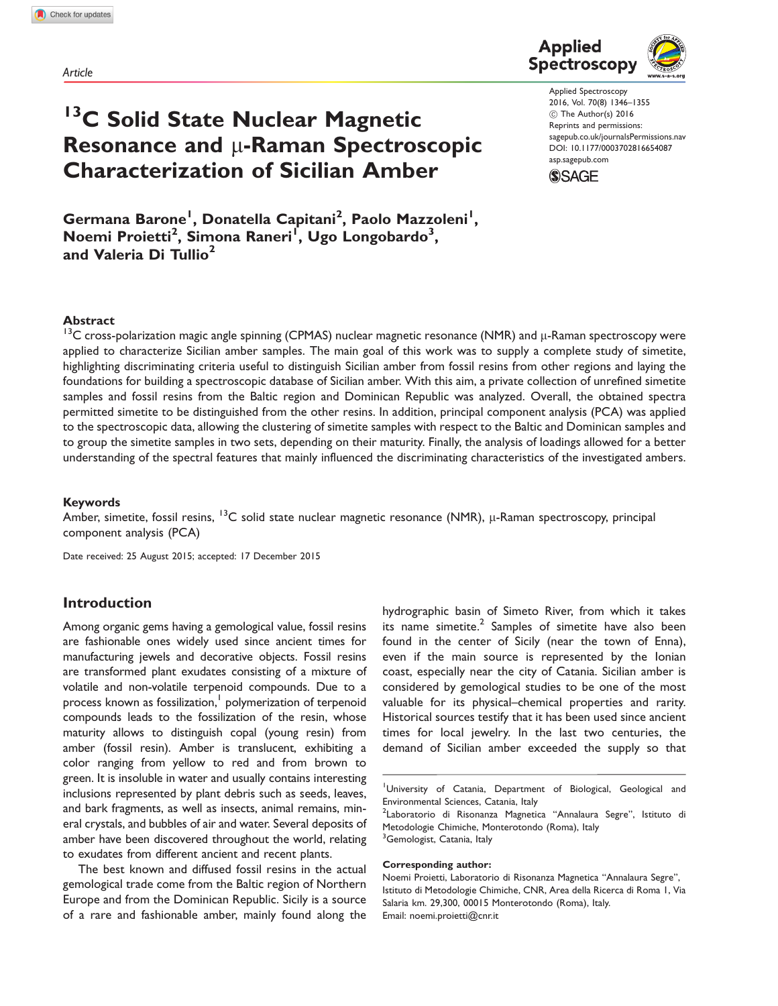Article

# <sup>13</sup>C Solid State Nuclear Magnetic Resonance and  $\mu$ -Raman Spectroscopic Characterization of Sicilian Amber

Germana Barone<sup>l</sup>, Donatella Capitani<sup>2</sup>, Paolo Mazzoleni<sup>l</sup>, Noemi Proietti<sup>2</sup>, Simona Raneri<sup>l</sup>, Ugo Longobardo<sup>3</sup>, and Valeria Di Tullio<sup>2</sup>



Applied Spectroscopy 2016, Vol. 70(8) 1346–1355 ! The Author(s) 2016 Reprints and permissions: sagepub.co.uk/journalsPermissions.nav DOI: 10.1177/0003702816654087 asp.sagepub.com

**SSAGE** 

#### Abstract

 $13$ C cross-polarization magic angle spinning (CPMAS) nuclear magnetic resonance (NMR) and  $\mu$ -Raman spectroscopy were applied to characterize Sicilian amber samples. The main goal of this work was to supply a complete study of simetite, highlighting discriminating criteria useful to distinguish Sicilian amber from fossil resins from other regions and laying the foundations for building a spectroscopic database of Sicilian amber. With this aim, a private collection of unrefined simetite samples and fossil resins from the Baltic region and Dominican Republic was analyzed. Overall, the obtained spectra permitted simetite to be distinguished from the other resins. In addition, principal component analysis (PCA) was applied to the spectroscopic data, allowing the clustering of simetite samples with respect to the Baltic and Dominican samples and to group the simetite samples in two sets, depending on their maturity. Finally, the analysis of loadings allowed for a better understanding of the spectral features that mainly influenced the discriminating characteristics of the investigated ambers.

#### Keywords

Amber, simetite, fossil resins,  $13C$  solid state nuclear magnetic resonance (NMR),  $\mu$ -Raman spectroscopy, principal component analysis (PCA)

Date received: 25 August 2015; accepted: 17 December 2015

## Introduction

Among organic gems having a gemological value, fossil resins are fashionable ones widely used since ancient times for manufacturing jewels and decorative objects. Fossil resins are transformed plant exudates consisting of a mixture of volatile and non-volatile terpenoid compounds. Due to a process known as fossilization,<sup>1</sup> polymerization of terpenoid compounds leads to the fossilization of the resin, whose maturity allows to distinguish copal (young resin) from amber (fossil resin). Amber is translucent, exhibiting a color ranging from yellow to red and from brown to green. It is insoluble in water and usually contains interesting inclusions represented by plant debris such as seeds, leaves, and bark fragments, as well as insects, animal remains, mineral crystals, and bubbles of air and water. Several deposits of amber have been discovered throughout the world, relating to exudates from different ancient and recent plants.

The best known and diffused fossil resins in the actual gemological trade come from the Baltic region of Northern Europe and from the Dominican Republic. Sicily is a source of a rare and fashionable amber, mainly found along the

hydrographic basin of Simeto River, from which it takes its name simetite. $2$  Samples of simetite have also been found in the center of Sicily (near the town of Enna), even if the main source is represented by the Ionian coast, especially near the city of Catania. Sicilian amber is considered by gemological studies to be one of the most valuable for its physical–chemical properties and rarity. Historical sources testify that it has been used since ancient times for local jewelry. In the last two centuries, the demand of Sicilian amber exceeded the supply so that

<sup>1</sup>University of Catania, Department of Biological, Geological and Environmental Sciences, Catania, Italy

<sup>2</sup>Laboratorio di Risonanza Magnetica ''Annalaura Segre'', Istituto di Metodologie Chimiche, Monterotondo (Roma), Italy <sup>3</sup>Gemologist, Catania, Italy

#### Corresponding author:

Noemi Proietti, Laboratorio di Risonanza Magnetica ''Annalaura Segre'', Istituto di Metodologie Chimiche, CNR, Area della Ricerca di Roma 1, Via Salaria km. 29,300, 00015 Monterotondo (Roma), Italy. Email: noemi.proietti@cnr.it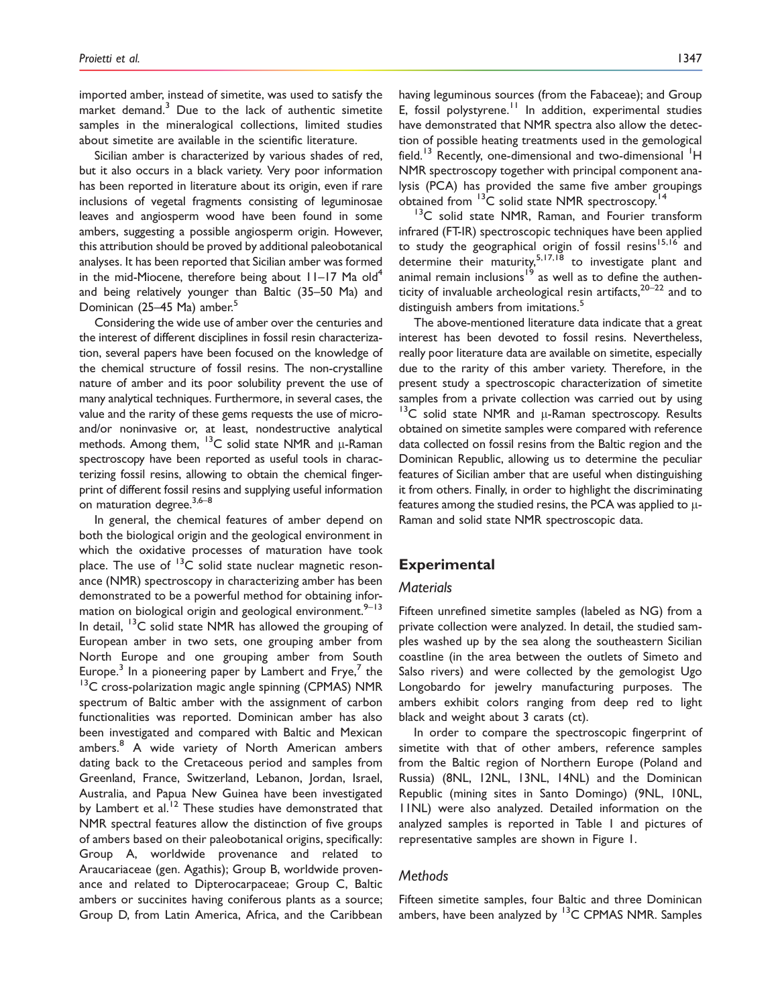imported amber, instead of simetite, was used to satisfy the market demand. $3$  Due to the lack of authentic simetite samples in the mineralogical collections, limited studies about simetite are available in the scientific literature.

Sicilian amber is characterized by various shades of red, but it also occurs in a black variety. Very poor information has been reported in literature about its origin, even if rare inclusions of vegetal fragments consisting of leguminosae leaves and angiosperm wood have been found in some ambers, suggesting a possible angiosperm origin. However, this attribution should be proved by additional paleobotanical analyses. It has been reported that Sicilian amber was formed in the mid-Miocene, therefore being about  $11-17$  Ma old<sup>4</sup> and being relatively younger than Baltic (35–50 Ma) and Dominican (25–45 Ma) amber.<sup>5</sup>

Considering the wide use of amber over the centuries and the interest of different disciplines in fossil resin characterization, several papers have been focused on the knowledge of the chemical structure of fossil resins. The non-crystalline nature of amber and its poor solubility prevent the use of many analytical techniques. Furthermore, in several cases, the value and the rarity of these gems requests the use of microand/or noninvasive or, at least, nondestructive analytical methods. Among them,  $^{13}C$  solid state NMR and  $\mu$ -Raman spectroscopy have been reported as useful tools in characterizing fossil resins, allowing to obtain the chemical fingerprint of different fossil resins and supplying useful information on maturation degree.<sup>3,6-8</sup>

In general, the chemical features of amber depend on both the biological origin and the geological environment in which the oxidative processes of maturation have took place. The use of  $13C$  solid state nuclear magnetic resonance (NMR) spectroscopy in characterizing amber has been demonstrated to be a powerful method for obtaining information on biological origin and geological environment. $9-13$ In detail,  $13C$  solid state NMR has allowed the grouping of European amber in two sets, one grouping amber from North Europe and one grouping amber from South Europe.<sup>3</sup> In a pioneering paper by Lambert and Frye,<sup>7</sup> the  $13<sup>13</sup>C$  cross-polarization magic angle spinning (CPMAS) NMR spectrum of Baltic amber with the assignment of carbon functionalities was reported. Dominican amber has also been investigated and compared with Baltic and Mexican ambers.<sup>8</sup> A wide variety of North American ambers dating back to the Cretaceous period and samples from Greenland, France, Switzerland, Lebanon, Jordan, Israel, Australia, and Papua New Guinea have been investigated by Lambert et al.<sup>12</sup> These studies have demonstrated that NMR spectral features allow the distinction of five groups of ambers based on their paleobotanical origins, specifically: Group A, worldwide provenance and related to Araucariaceae (gen. Agathis); Group B, worldwide provenance and related to Dipterocarpaceae; Group C, Baltic ambers or succinites having coniferous plants as a source; Group D, from Latin America, Africa, and the Caribbean having leguminous sources (from the Fabaceae); and Group E, fossil polystyrene.<sup>11</sup> In addition, experimental studies have demonstrated that NMR spectra also allow the detection of possible heating treatments used in the gemological field.<sup>13</sup> Recently, one-dimensional and two-dimensional <sup>1</sup>H NMR spectroscopy together with principal component analysis (PCA) has provided the same five amber groupings obtained from <sup>13</sup>C solid state NMR spectroscopy.<sup>14</sup>

<sup>13</sup>C solid state NMR, Raman, and Fourier transform infrared (FT-IR) spectroscopic techniques have been applied to study the geographical origin of fossil resins<sup>15,16</sup> and determine their maturity,<sup>5,17,18</sup> to investigate plant and animal remain inclusions<sup>19</sup> as well as to define the authenticity of invaluable archeological resin artifacts, $20-22$  and to distinguish ambers from imitations.<sup>5</sup>

The above-mentioned literature data indicate that a great interest has been devoted to fossil resins. Nevertheless, really poor literature data are available on simetite, especially due to the rarity of this amber variety. Therefore, in the present study a spectroscopic characterization of simetite samples from a private collection was carried out by using  $13$ C solid state NMR and  $\mu$ -Raman spectroscopy. Results obtained on simetite samples were compared with reference data collected on fossil resins from the Baltic region and the Dominican Republic, allowing us to determine the peculiar features of Sicilian amber that are useful when distinguishing it from others. Finally, in order to highlight the discriminating features among the studied resins, the PCA was applied to  $\mu$ -Raman and solid state NMR spectroscopic data.

## Experimental

## **Materials**

Fifteen unrefined simetite samples (labeled as NG) from a private collection were analyzed. In detail, the studied samples washed up by the sea along the southeastern Sicilian coastline (in the area between the outlets of Simeto and Salso rivers) and were collected by the gemologist Ugo Longobardo for jewelry manufacturing purposes. The ambers exhibit colors ranging from deep red to light black and weight about 3 carats (ct).

In order to compare the spectroscopic fingerprint of simetite with that of other ambers, reference samples from the Baltic region of Northern Europe (Poland and Russia) (8NL, 12NL, 13NL, 14NL) and the Dominican Republic (mining sites in Santo Domingo) (9NL, 10NL, 11NL) were also analyzed. Detailed information on the analyzed samples is reported in Table 1 and pictures of representative samples are shown in Figure 1.

## **Methods**

Fifteen simetite samples, four Baltic and three Dominican ambers, have been analyzed by <sup>13</sup>C CPMAS NMR. Samples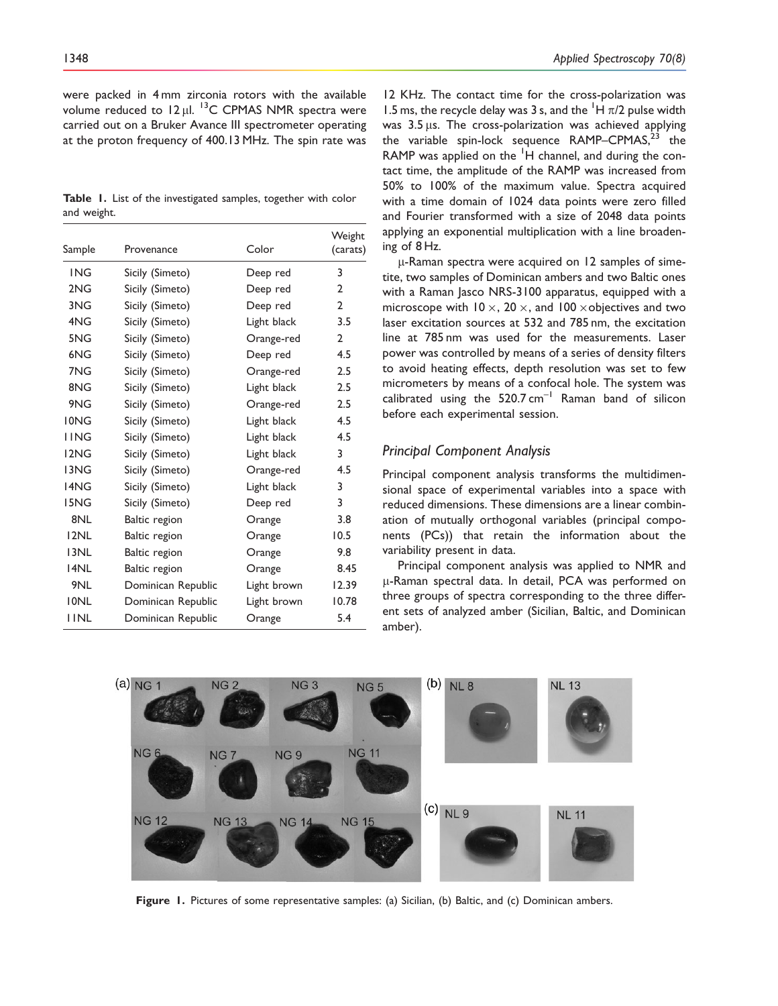were packed in 4 mm zirconia rotors with the available volume reduced to  $12 \mu$ l. <sup>13</sup>C CPMAS NMR spectra were carried out on a Bruker Avance III spectrometer operating at the proton frequency of 400.13 MHz. The spin rate was

Table 1. List of the investigated samples, together with color and weight.

| Sample      | Provenance         | Color       | Weight<br>(carats) |  |
|-------------|--------------------|-------------|--------------------|--|
| <b>ING</b>  | Sicily (Simeto)    | Deep red    | 3                  |  |
| 2NG         | Sicily (Simeto)    | Deep red    | $\overline{2}$     |  |
| 3NG         | Sicily (Simeto)    | Deep red    | $\mathbf{2}$       |  |
| 4NG         | Sicily (Simeto)    | Light black | 3.5                |  |
| 5NG         | Sicily (Simeto)    | Orange-red  | $\overline{2}$     |  |
| 6NG         | Sicily (Simeto)    | Deep red    | 4.5                |  |
| 7NG         | Sicily (Simeto)    | Orange-red  | 2.5                |  |
| 8NG         | Sicily (Simeto)    | Light black | 2.5                |  |
| 9NG         | Sicily (Simeto)    | Orange-red  | 2.5                |  |
| <b>IONG</b> | Sicily (Simeto)    | Light black | 4.5                |  |
| <b>IING</b> | Sicily (Simeto)    | Light black | 4.5                |  |
| 12NG        | Sicily (Simeto)    | Light black | 3                  |  |
| 13NG        | Sicily (Simeto)    | Orange-red  | 4.5                |  |
| 14NG        | Sicily (Simeto)    | Light black | 3                  |  |
| 15NG        | Sicily (Simeto)    | Deep red    | 3                  |  |
| 8NL         | Baltic region      | Orange      | 3.8                |  |
| 12NL        | Baltic region      | Orange      | 10.5               |  |
| 13NL        | Baltic region      | Orange      | 9.8                |  |
| 14NL        | Baltic region      | Orange      | 8.45               |  |
| 9NL         | Dominican Republic | Light brown | 12.39              |  |
| <b>IONL</b> | Dominican Republic | Light brown | 10.78              |  |
| <b>IINL</b> | Dominican Republic | Orange      | 5.4                |  |

1348 **Applied Spectroscopy 70(8) Applied Spectroscopy 70(8)** 

12 KHz. The contact time for the cross-polarization was 1.5 ms, the recycle delay was 3 s, and the  $\overline{H}$   $\pi/2$  pulse width was  $3.5 \,\mu s$ . The cross-polarization was achieved applying the variable spin-lock sequence  $RAMP–CPMAS<sup>23</sup>$  the RAMP was applied on the <sup>1</sup>H channel, and during the contact time, the amplitude of the RAMP was increased from 50% to 100% of the maximum value. Spectra acquired with a time domain of 1024 data points were zero filled and Fourier transformed with a size of 2048 data points applying an exponential multiplication with a line broadening of 8 Hz.

 $\mu$ -Raman spectra were acquired on 12 samples of simetite, two samples of Dominican ambers and two Baltic ones with a Raman Jasco NRS-3100 apparatus, equipped with a microscope with 10  $\times$ , 20  $\times$ , and 100  $\times$ objectives and two laser excitation sources at 532 and 785 nm, the excitation line at 785 nm was used for the measurements. Laser power was controlled by means of a series of density filters to avoid heating effects, depth resolution was set to few micrometers by means of a confocal hole. The system was calibrated using the  $520.7 \text{ cm}^{-1}$  Raman band of silicon before each experimental session.

## Principal Component Analysis

Principal component analysis transforms the multidimensional space of experimental variables into a space with reduced dimensions. These dimensions are a linear combination of mutually orthogonal variables (principal components (PCs)) that retain the information about the variability present in data.

Principal component analysis was applied to NMR and µ-Raman spectral data. In detail, PCA was performed on three groups of spectra corresponding to the three different sets of analyzed amber (Sicilian, Baltic, and Dominican amber).



Figure 1. Pictures of some representative samples: (a) Sicilian, (b) Baltic, and (c) Dominican ambers.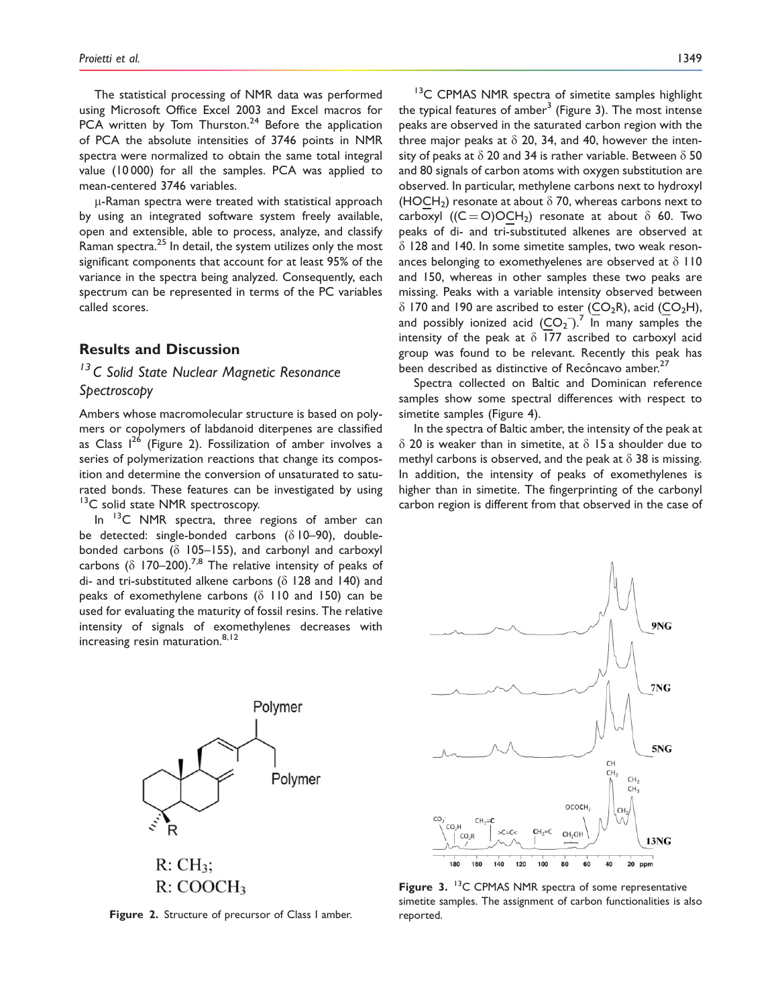The statistical processing of NMR data was performed using Microsoft Office Excel 2003 and Excel macros for PCA written by Tom Thurston. $24$  Before the application of PCA the absolute intensities of 3746 points in NMR spectra were normalized to obtain the same total integral value (10 000) for all the samples. PCA was applied to mean-centered 3746 variables.

 $\mu$ -Raman spectra were treated with statistical approach by using an integrated software system freely available, open and extensible, able to process, analyze, and classify Raman spectra.<sup>25</sup> In detail, the system utilizes only the most significant components that account for at least 95% of the variance in the spectra being analyzed. Consequently, each spectrum can be represented in terms of the PC variables called scores.

## Results and Discussion

## <sup>13</sup> C Solid State Nuclear Magnetic Resonance **Spectroscopy**

Ambers whose macromolecular structure is based on polymers or copolymers of labdanoid diterpenes are classified as Class  $1^{26}$  (Figure 2). Fossilization of amber involves a series of polymerization reactions that change its composition and determine the conversion of unsaturated to saturated bonds. These features can be investigated by using <sup>13</sup>C solid state NMR spectroscopy.

In <sup>13</sup>C NMR spectra, three regions of amber can be detected: single-bonded carbons  $( \delta 10-90)$ , doublebonded carbons ( $\delta$  105–155), and carbonyl and carboxyl carbons ( $\delta$  170–200).<sup>7,8</sup> The relative intensity of peaks of di- and tri-substituted alkene carbons ( $\delta$  128 and 140) and peaks of exomethylene carbons ( $\delta$  110 and 150) can be used for evaluating the maturity of fossil resins. The relative intensity of signals of exomethylenes decreases with increasing resin maturation.<sup>8,12</sup>

> Polymer Polymer  $R:CH_3;$  $R: COOCH<sub>3</sub>$



<sup>13</sup>C CPMAS NMR spectra of simetite samples highlight the typical features of amber<sup>3</sup> (Figure 3). The most intense peaks are observed in the saturated carbon region with the three major peaks at  $\delta$  20, 34, and 40, however the intensity of peaks at  $\delta$  20 and 34 is rather variable. Between  $\delta$  50 and 80 signals of carbon atoms with oxygen substitution are observed. In particular, methylene carbons next to hydroxyl (HOCH<sub>2</sub>) resonate at about  $\delta$  70, whereas carbons next to carboxyl ((C = O)OCH<sub>2</sub>) resonate at about  $\delta$  60. Two peaks of di- and tri-substituted alkenes are observed at  $\delta$  128 and 140. In some simetite samples, two weak resonances belonging to exomethyelenes are observed at  $\delta$  110 and 150, whereas in other samples these two peaks are missing. Peaks with a variable intensity observed between  $\delta$  170 and 190 are ascribed to ester (CO<sub>2</sub>R), acid (CO<sub>2</sub>H), and possibly ionized acid  $(CO_2^-)$ .<sup>7</sup> In many samples the intensity of the peak at  $\delta$  177 ascribed to carboxyl acid group was found to be relevant. Recently this peak has been described as distinctive of Recôncavo amber.<sup>27</sup>

Spectra collected on Baltic and Dominican reference samples show some spectral differences with respect to simetite samples (Figure 4).

In the spectra of Baltic amber, the intensity of the peak at  $\delta$  20 is weaker than in simetite, at  $\delta$  15 a shoulder due to methyl carbons is observed, and the peak at  $\delta$  38 is missing. In addition, the intensity of peaks of exomethylenes is higher than in simetite. The fingerprinting of the carbonyl carbon region is different from that observed in the case of



Figure 3.  $13$ C CPMAS NMR spectra of some representative simetite samples. The assignment of carbon functionalities is also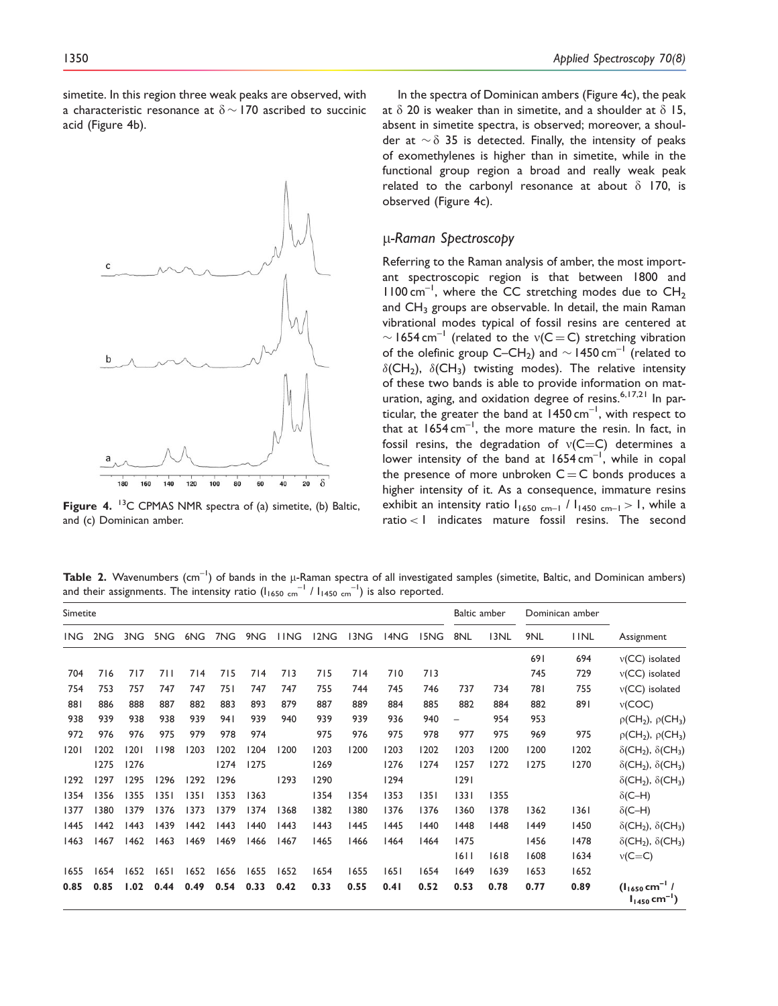simetite. In this region three weak peaks are observed, with a characteristic resonance at  $\delta \sim 170$  ascribed to succinic acid (Figure 4b).



Figure 4. <sup>13</sup>C CPMAS NMR spectra of (a) simetite, (b) Baltic, and (c) Dominican amber.

In the spectra of Dominican ambers (Figure 4c), the peak at  $\delta$  20 is weaker than in simetite, and a shoulder at  $\delta$  15, absent in simetite spectra, is observed; moreover, a shoulder at  $\sim \delta$  35 is detected. Finally, the intensity of peaks of exomethylenes is higher than in simetite, while in the functional group region a broad and really weak peak related to the carbonyl resonance at about  $\delta$  170, is observed (Figure 4c).

## m-Raman Spectroscopy

Referring to the Raman analysis of amber, the most important spectroscopic region is that between 1800 and  $1100 \text{ cm}^{-1}$ , where the CC stretching modes due to CH<sub>2</sub> and  $CH<sub>3</sub>$  groups are observable. In detail, the main Raman vibrational modes typical of fossil resins are centered at  $\sim$  1654 cm<sup>-1</sup> (related to the v(C = C) stretching vibration of the olefinic group C–CH<sub>2</sub>) and  $\sim$  1450 cm<sup>-1</sup> (related to  $\delta$ (CH<sub>2</sub>),  $\delta$ (CH<sub>3</sub>) twisting modes). The relative intensity of these two bands is able to provide information on maturation, aging, and oxidation degree of resins.<sup>6,17,21</sup> In particular, the greater the band at  $1450 \text{ cm}^{-1}$ , with respect to that at  $1654 \text{ cm}^{-1}$ , the more mature the resin. In fact, in fossil resins, the degradation of  $v(C=C)$  determines a lower intensity of the band at  $1654 \text{ cm}^{-1}$ , while in copal the presence of more unbroken  $C = C$  bonds produces a higher intensity of it. As a consequence, immature resins exhibit an intensity ratio  $I_{1650 \text{ cm}-1}$  /  $I_{1450 \text{ cm}-1}$  > 1, while a ratio < 1 indicates mature fossil resins. The second

Table 2. Wavenumbers (cm<sup>-1</sup>) of bands in the  $\mu$ -Raman spectra of all investigated samples (simetite, Baltic, and Dominican ambers) and their assignments. The intensity ratio  $(I_{1650 \text{ cm}}^{-1} / I_{1450 \text{ cm}}^{-1})$  is also reported.

| Simetite   |      |      |      |      |      |      | Baltic amber |      | Dominican amber |      |      |                          |      |      |             |                                                                 |
|------------|------|------|------|------|------|------|--------------|------|-----------------|------|------|--------------------------|------|------|-------------|-----------------------------------------------------------------|
| <b>ING</b> | 2NG  | 3NG  | 5NG  | 6NG  | 7NG  | 9NG  | <b>IING</b>  | 12NG | 13NG            | 14NG | 15NG | 8NL                      | 13NL | 9NL  | <b>IINL</b> | Assignment                                                      |
|            |      |      |      |      |      |      |              |      |                 |      |      |                          |      | 691  | 694         | $v(CC)$ isolated                                                |
| 704        | 716  | 717  | 711  | 714  | 715  | 714  | 713          | 715  | 714             | 710  | 713  |                          |      | 745  | 729         | $v(CC)$ isolated                                                |
| 754        | 753  | 757  | 747  | 747  | 751  | 747  | 747          | 755  | 744             | 745  | 746  | 737                      | 734  | 781  | 755         | $v(CC)$ isolated                                                |
| 881        | 886  | 888  | 887  | 882  | 883  | 893  | 879          | 887  | 889             | 884  | 885  | 882                      | 884  | 882  | 891         | v(COC)                                                          |
| 938        | 939  | 938  | 938  | 939  | 941  | 939  | 940          | 939  | 939             | 936  | 940  | $\overline{\phantom{0}}$ | 954  | 953  |             | $\rho$ (CH <sub>2</sub> ), $\rho$ (CH <sub>3</sub> )            |
| 972        | 976  | 976  | 975  | 979  | 978  | 974  |              | 975  | 976             | 975  | 978  | 977                      | 975  | 969  | 975         | $\rho$ (CH <sub>2</sub> ), $\rho$ (CH <sub>3</sub> )            |
| 1201       | 1202 | 1201 | 1198 | 1203 | 1202 | 1204 | 1200         | 1203 | 1200            | 1203 | 1202 | 1203                     | 1200 | 1200 | 1202        | $\delta$ (CH <sub>2</sub> ), $\delta$ (CH <sub>3</sub> )        |
|            | 1275 | 1276 |      |      | 1274 | 1275 |              | 1269 |                 | 1276 | 1274 | 1257                     | 1272 | 1275 | 1270        | $\delta$ (CH <sub>2</sub> ), $\delta$ (CH <sub>3</sub> )        |
| 1292       | 1297 | 1295 | 1296 | 1292 | 1296 |      | 1293         | 1290 |                 | 1294 |      | 1291                     |      |      |             | $\delta$ (CH <sub>2</sub> ), $\delta$ (CH <sub>3</sub> )        |
| 1354       | 1356 | 1355 | 1351 | 1351 | 353  | 1363 |              | 1354 | 1354            | 1353 | 1351 | 1331                     | 1355 |      |             | $\delta$ (C-H)                                                  |
| 1377       | 1380 | 1379 | 1376 | 1373 | 1379 | 1374 | 1368         | 1382 | 1380            | 1376 | 1376 | 1360                     | 1378 | 1362 | 1361        | $\delta$ (C-H)                                                  |
| 1445       | 1442 | 1443 | 1439 | 1442 | 1443 | 1440 | 1443         | 1443 | 1445            | 1445 | 1440 | 1448                     | 1448 | 1449 | 1450        | $\delta$ (CH <sub>2</sub> ), $\delta$ (CH <sub>3</sub> )        |
| 1463       | 1467 | 1462 | 1463 | 1469 | 1469 | 1466 | 1467         | 1465 | 1466            | 1464 | 1464 | 1475                     |      | 1456 | 1478        | $\delta$ (CH <sub>2</sub> ), $\delta$ (CH <sub>3</sub> )        |
|            |      |      |      |      |      |      |              |      |                 |      |      | 1611                     | 1618 | 1608 | 1634        | $v(C=C)$                                                        |
| 1655       | 1654 | 1652 | 1651 | 1652 | 1656 | 1655 | 1652         | 1654 | 1655            | 1651 | 1654 | 1649                     | 1639 | 1653 | 1652        |                                                                 |
| 0.85       | 0.85 | 1.02 | 0.44 | 0.49 | 0.54 | 0.33 | 0.42         | 0.33 | 0.55            | 0.41 | 0.52 | 0.53                     | 0.78 | 0.77 | 0.89        | $(l_{1650}$ cm <sup>-1</sup> /<br>$I_{1450}$ cm <sup>-1</sup> ) |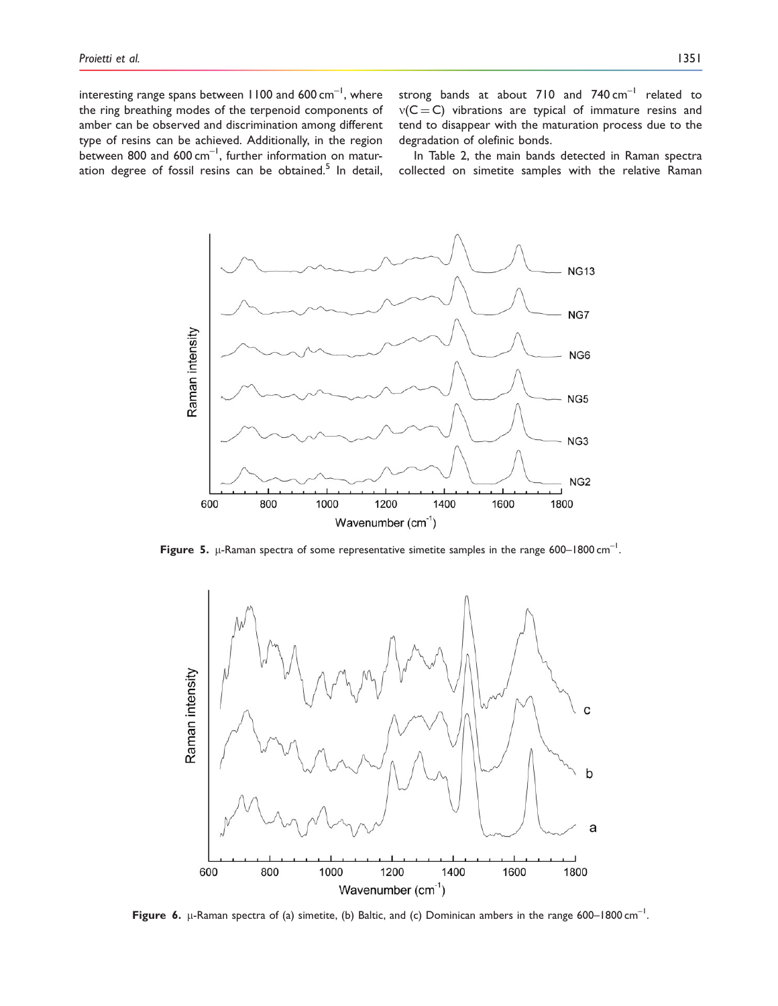interesting range spans between 1100 and 600  $cm^{-1}$ , where the ring breathing modes of the terpenoid components of amber can be observed and discrimination among different type of resins can be achieved. Additionally, in the region between 800 and 600 cm<sup>-1</sup>, further information on maturation degree of fossil resins can be obtained.<sup>5</sup> In detail, strong bands at about 710 and  $740 \text{ cm}^{-1}$  related to  $v(C = C)$  vibrations are typical of immature resins and tend to disappear with the maturation process due to the degradation of olefinic bonds.

In Table 2, the main bands detected in Raman spectra collected on simetite samples with the relative Raman



Figure 5.  $\mu$ -Raman spectra of some representative simetite samples in the range 600–1800 cm<sup>-1</sup>.



Figure 6.  $\mu$ -Raman spectra of (a) simetite, (b) Baltic, and (c) Dominican ambers in the range 600–1800 cm<sup>-1</sup>.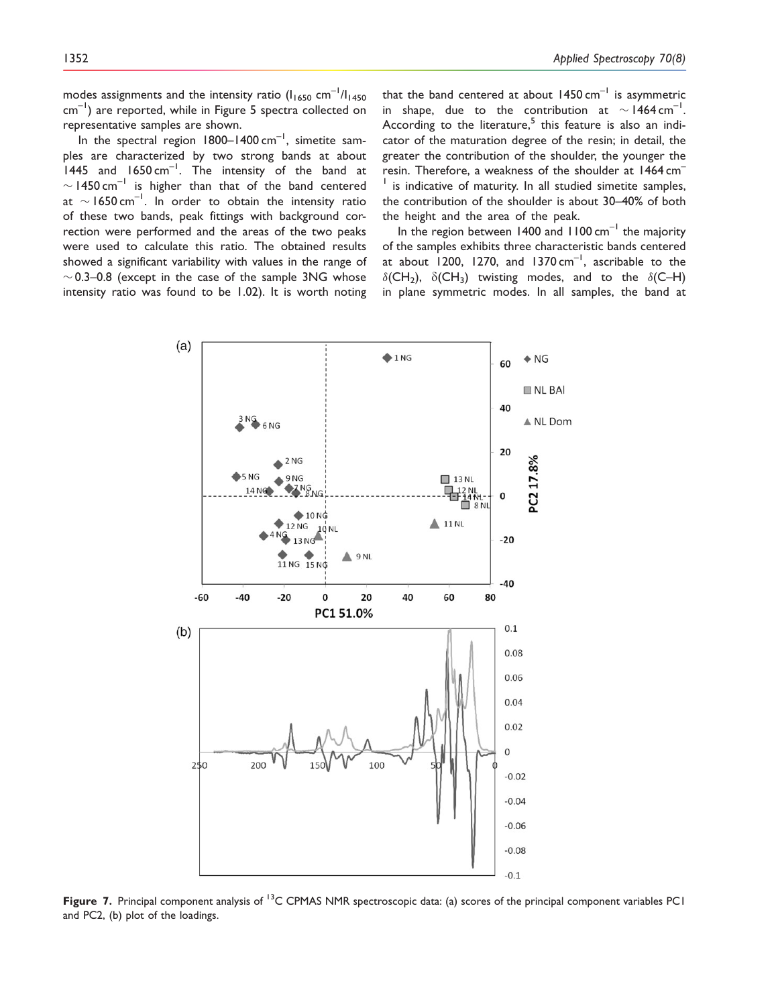modes assignments and the intensity ratio  $(I<sub>1650</sub> cm<sup>-1</sup>/I<sub>1450</sub>$  $cm^{-1}$ ) are reported, while in Figure 5 spectra collected on representative samples are shown.

In the spectral region  $1800-1400$  cm<sup>-1</sup>, simetite samples are characterized by two strong bands at about 1445 and 1650 cm<sup>-1</sup>. The intensity of the band at  $\sim$  1450 cm<sup>-1</sup> is higher than that of the band centered at  $\sim$  1650 cm<sup>-1</sup>. In order to obtain the intensity ratio of these two bands, peak fittings with background correction were performed and the areas of the two peaks were used to calculate this ratio. The obtained results showed a significant variability with values in the range of  $\sim$  0.3–0.8 (except in the case of the sample 3NG whose intensity ratio was found to be 1.02). It is worth noting that the band centered at about  $1450 \text{ cm}^{-1}$  is asymmetric in shape, due to the contribution at  $\sim$  1464 cm<sup>-1</sup>. According to the literature, $5$  this feature is also an indicator of the maturation degree of the resin; in detail, the greater the contribution of the shoulder, the younger the resin. Therefore, a weakness of the shoulder at 1464 cm– <sup>1</sup> is indicative of maturity. In all studied simetite samples, the contribution of the shoulder is about 30–40% of both the height and the area of the peak.

In the region between 1400 and  $1100 \text{ cm}^{-1}$  the majority of the samples exhibits three characteristic bands centered at about  $1200$ , 1270, and 1370 cm<sup>-1</sup>, ascribable to the  $\delta$ (CH<sub>2</sub>),  $\delta$ (CH<sub>3</sub>) twisting modes, and to the  $\delta$ (C–H) in plane symmetric modes. In all samples, the band at



Figure 7. Principal component analysis of <sup>13</sup>C CPMAS NMR spectroscopic data: (a) scores of the principal component variables PC1 and PC2, (b) plot of the loadings.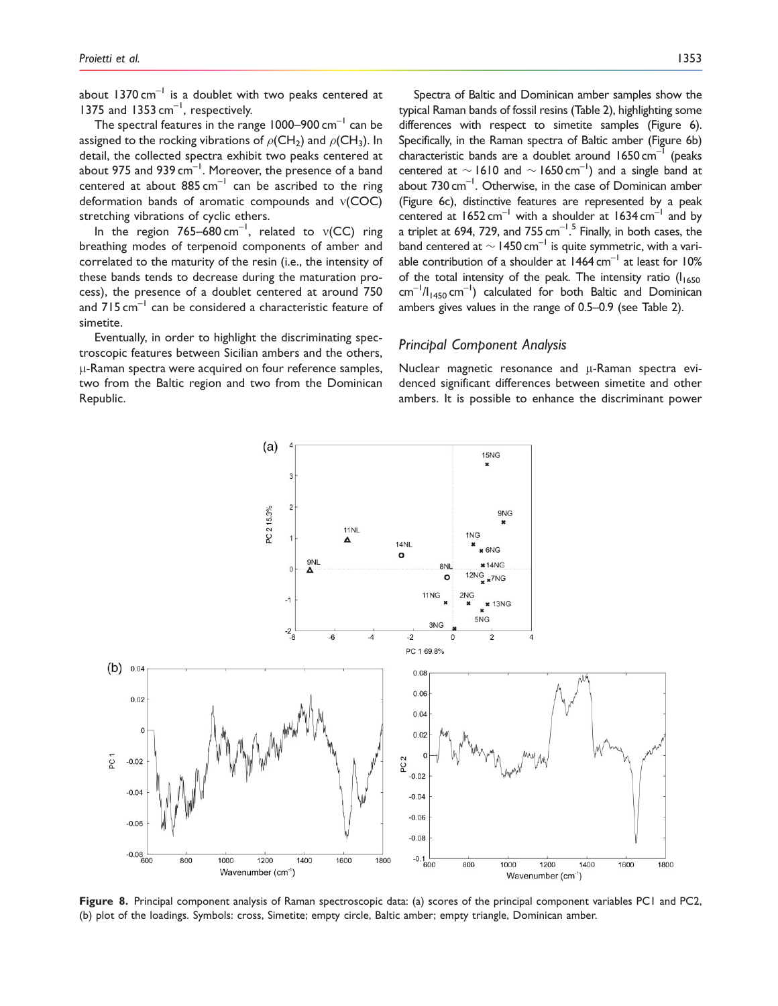about  $1370 \text{ cm}^{-1}$  is a doublet with two peaks centered at 1375 and 1353  $cm^{-1}$ , respectively.

The spectral features in the range  $1000-900$  cm<sup>-1</sup> can be assigned to the rocking vibrations of  $\rho$ (CH<sub>2</sub>) and  $\rho$ (CH<sub>3</sub>). In detail, the collected spectra exhibit two peaks centered at about 975 and 939  $cm^{-1}$ . Moreover, the presence of a band centered at about  $885 \text{ cm}^{-1}$  can be ascribed to the ring deformation bands of aromatic compounds and  $v(COC)$ stretching vibrations of cyclic ethers.

In the region 765–680 cm<sup>-1</sup>, related to  $v(CC)$  ring breathing modes of terpenoid components of amber and correlated to the maturity of the resin (i.e., the intensity of these bands tends to decrease during the maturation process), the presence of a doublet centered at around 750 and  $715 \text{ cm}^{-1}$  can be considered a characteristic feature of simetite.

Eventually, in order to highlight the discriminating spectroscopic features between Sicilian ambers and the others,  $\mu$ -Raman spectra were acquired on four reference samples, two from the Baltic region and two from the Dominican Republic.

Spectra of Baltic and Dominican amber samples show the typical Raman bands of fossil resins (Table 2), highlighting some differences with respect to simetite samples (Figure 6). Specifically, in the Raman spectra of Baltic amber (Figure 6b) characteristic bands are a doublet around  $1650 \text{ cm}^{-1}$  (peaks centered at  $\sim$  1610 and  $\sim$  1650 cm<sup>-1</sup>) and a single band at about  $730 \text{ cm}^{-1}$ . Otherwise, in the case of Dominican amber (Figure 6c), distinctive features are represented by a peak centered at  $1652 \text{ cm}^{-1}$  with a shoulder at  $1634 \text{ cm}^{-1}$  and by a triplet at 694, 729, and 755  $\mathrm{cm}^{-1.5}$  Finally, in both cases, the band centered at  $\sim$  1450 cm<sup>-1</sup> is quite symmetric, with a variable contribution of a shoulder at  $1464 \text{ cm}^{-1}$  at least for  $10\%$ of the total intensity of the peak. The intensity ratio  $(I<sub>1650</sub>)$  $\text{cm}^{-1}/I_{1450} \text{cm}^{-1}$ ) calculated for both Baltic and Dominican ambers gives values in the range of 0.5–0.9 (see Table 2).

### Principal Component Analysis

Nuclear magnetic resonance and  $\mu$ -Raman spectra evidenced significant differences between simetite and other ambers. It is possible to enhance the discriminant power



Figure 8. Principal component analysis of Raman spectroscopic data: (a) scores of the principal component variables PC1 and PC2, (b) plot of the loadings. Symbols: cross, Simetite; empty circle, Baltic amber; empty triangle, Dominican amber.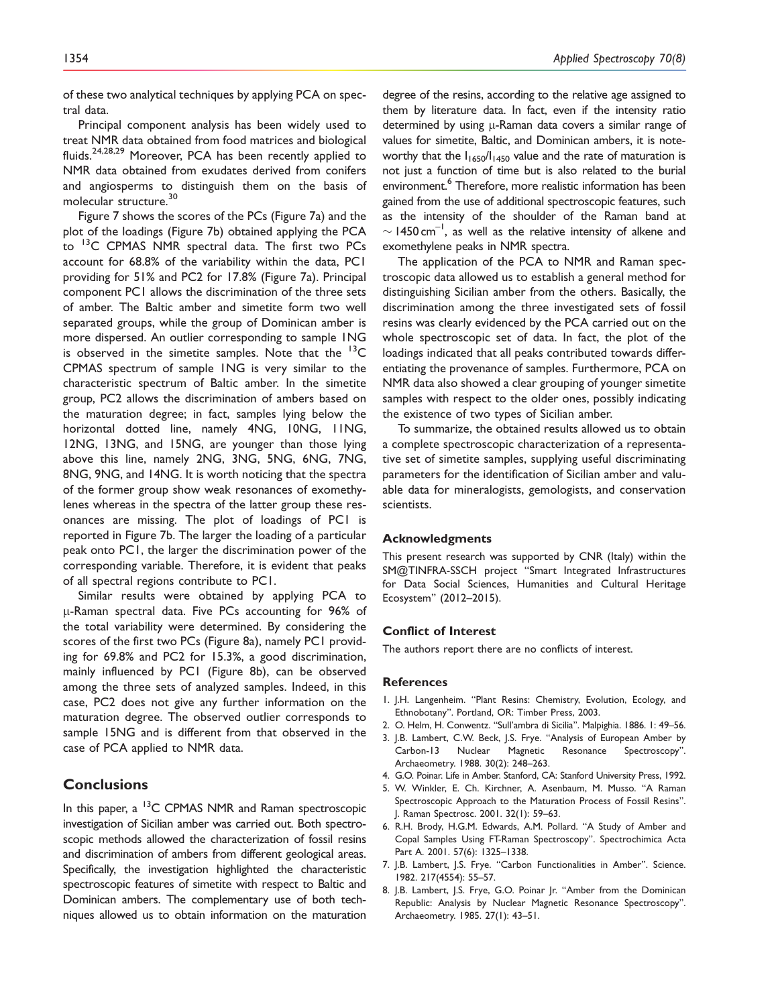of these two analytical techniques by applying PCA on spectral data.

Principal component analysis has been widely used to treat NMR data obtained from food matrices and biological fluids.<sup>24,28,29</sup> Moreover, PCA has been recently applied to NMR data obtained from exudates derived from conifers and angiosperms to distinguish them on the basis of molecular structure.<sup>30</sup>

Figure 7 shows the scores of the PCs (Figure 7a) and the plot of the loadings (Figure 7b) obtained applying the PCA to <sup>13</sup>C CPMAS NMR spectral data. The first two PCs account for 68.8% of the variability within the data, PC1 providing for 51% and PC2 for 17.8% (Figure 7a). Principal component PC1 allows the discrimination of the three sets of amber. The Baltic amber and simetite form two well separated groups, while the group of Dominican amber is more dispersed. An outlier corresponding to sample 1NG is observed in the simetite samples. Note that the  ${}^{13}C$ CPMAS spectrum of sample 1NG is very similar to the characteristic spectrum of Baltic amber. In the simetite group, PC2 allows the discrimination of ambers based on the maturation degree; in fact, samples lying below the horizontal dotted line, namely 4NG, 10NG, 11NG, 12NG, 13NG, and 15NG, are younger than those lying above this line, namely 2NG, 3NG, 5NG, 6NG, 7NG, 8NG, 9NG, and 14NG. It is worth noticing that the spectra of the former group show weak resonances of exomethylenes whereas in the spectra of the latter group these resonances are missing. The plot of loadings of PC1 is reported in Figure 7b. The larger the loading of a particular peak onto PC1, the larger the discrimination power of the corresponding variable. Therefore, it is evident that peaks of all spectral regions contribute to PC1.

Similar results were obtained by applying PCA to µ-Raman spectral data. Five PCs accounting for 96% of the total variability were determined. By considering the scores of the first two PCs (Figure 8a), namely PC1 providing for 69.8% and PC2 for 15.3%, a good discrimination, mainly influenced by PC1 (Figure 8b), can be observed among the three sets of analyzed samples. Indeed, in this case, PC2 does not give any further information on the maturation degree. The observed outlier corresponds to sample 15NG and is different from that observed in the case of PCA applied to NMR data.

## **Conclusions**

In this paper, a <sup>13</sup>C CPMAS NMR and Raman spectroscopic investigation of Sicilian amber was carried out. Both spectroscopic methods allowed the characterization of fossil resins and discrimination of ambers from different geological areas. Specifically, the investigation highlighted the characteristic spectroscopic features of simetite with respect to Baltic and Dominican ambers. The complementary use of both techniques allowed us to obtain information on the maturation

degree of the resins, according to the relative age assigned to them by literature data. In fact, even if the intensity ratio determined by using  $\mu$ -Raman data covers a similar range of values for simetite, Baltic, and Dominican ambers, it is noteworthy that the  $I_{1650}/I_{1450}$  value and the rate of maturation is not just a function of time but is also related to the burial environment.<sup>6</sup> Therefore, more realistic information has been gained from the use of additional spectroscopic features, such as the intensity of the shoulder of the Raman band at  $\sim$  1450 cm<sup>-1</sup>, as well as the relative intensity of alkene and exomethylene peaks in NMR spectra.

The application of the PCA to NMR and Raman spectroscopic data allowed us to establish a general method for distinguishing Sicilian amber from the others. Basically, the discrimination among the three investigated sets of fossil resins was clearly evidenced by the PCA carried out on the whole spectroscopic set of data. In fact, the plot of the loadings indicated that all peaks contributed towards differentiating the provenance of samples. Furthermore, PCA on NMR data also showed a clear grouping of younger simetite samples with respect to the older ones, possibly indicating the existence of two types of Sicilian amber.

To summarize, the obtained results allowed us to obtain a complete spectroscopic characterization of a representative set of simetite samples, supplying useful discriminating parameters for the identification of Sicilian amber and valuable data for mineralogists, gemologists, and conservation scientists.

#### Acknowledgments

This present research was supported by CNR (Italy) within the SM@TINFRA-SSCH project ''Smart Integrated Infrastructures for Data Social Sciences, Humanities and Cultural Heritage Ecosystem'' (2012–2015).

### Conflict of Interest

The authors report there are no conflicts of interest.

#### References

- 1. J.H. Langenheim. ''Plant Resins: Chemistry, Evolution, Ecology, and Ethnobotany''. Portland, OR: Timber Press, 2003.
- 2. O. Helm, H. Conwentz. ''Sull'ambra di Sicilia''. Malpighia. 1886. 1: 49–56.
- 3. J.B. Lambert, C.W. Beck, J.S. Frye. ''Analysis of European Amber by Carbon-13 Nuclear Magnetic Resonance Spectroscopy''. Archaeometry. 1988. 30(2): 248–263.
- 4. G.O. Poinar. Life in Amber. Stanford, CA: Stanford University Press, 1992.
- 5. W. Winkler, E. Ch. Kirchner, A. Asenbaum, M. Musso. ''A Raman Spectroscopic Approach to the Maturation Process of Fossil Resins''. J. Raman Spectrosc. 2001. 32(1): 59–63.
- 6. R.H. Brody, H.G.M. Edwards, A.M. Pollard. ''A Study of Amber and Copal Samples Using FT-Raman Spectroscopy''. Spectrochimica Acta Part A. 2001. 57(6): 1325–1338.
- 7. J.B. Lambert, J.S. Frye. ''Carbon Functionalities in Amber''. Science. 1982. 217(4554): 55–57.
- 8. J.B. Lambert, J.S. Frye, G.O. Poinar Jr. ''Amber from the Dominican Republic: Analysis by Nuclear Magnetic Resonance Spectroscopy''. Archaeometry. 1985. 27(1): 43–51.